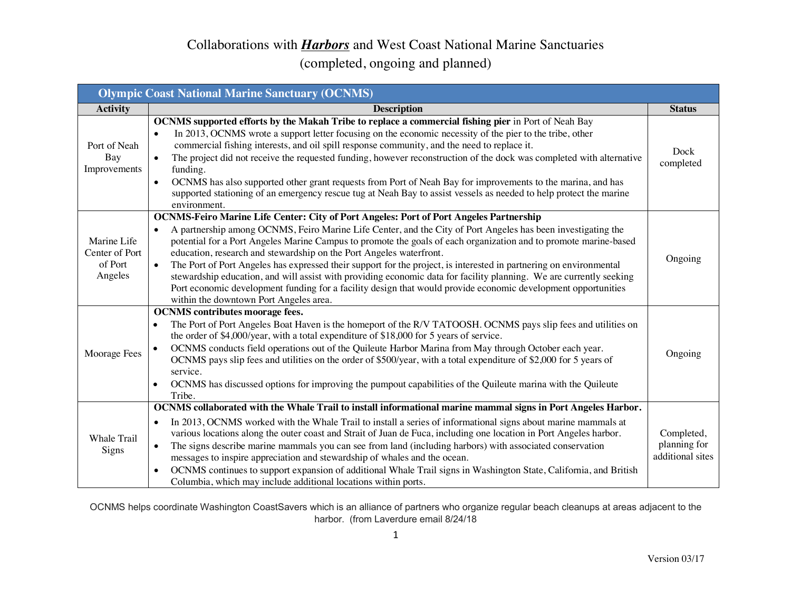### (completed, ongoing and planned)

| <b>Olympic Coast National Marine Sanctuary (OCNMS)</b> |                                                                                                                                                                                                                                                                                                                                                                                                                                                                                                                                                                                                                                                                                                                                                                                                                        |                                                |
|--------------------------------------------------------|------------------------------------------------------------------------------------------------------------------------------------------------------------------------------------------------------------------------------------------------------------------------------------------------------------------------------------------------------------------------------------------------------------------------------------------------------------------------------------------------------------------------------------------------------------------------------------------------------------------------------------------------------------------------------------------------------------------------------------------------------------------------------------------------------------------------|------------------------------------------------|
| <b>Activity</b>                                        | <b>Description</b>                                                                                                                                                                                                                                                                                                                                                                                                                                                                                                                                                                                                                                                                                                                                                                                                     | <b>Status</b>                                  |
| Port of Neah<br>Bay<br>Improvements                    | <b>OCNMS</b> supported efforts by the Makah Tribe to replace a commercial fishing pier in Port of Neah Bay<br>In 2013, OCNMS wrote a support letter focusing on the economic necessity of the pier to the tribe, other<br>$\bullet$<br>commercial fishing interests, and oil spill response community, and the need to replace it.<br>The project did not receive the requested funding, however reconstruction of the dock was completed with alternative<br>$\bullet$<br>funding.<br>OCNMS has also supported other grant requests from Port of Neah Bay for improvements to the marina, and has<br>$\bullet$<br>supported stationing of an emergency rescue tug at Neah Bay to assist vessels as needed to help protect the marine<br>environment.                                                                  | Dock<br>completed                              |
| Marine Life<br>Center of Port<br>of Port<br>Angeles    | OCNMS-Feiro Marine Life Center: City of Port Angeles: Port of Port Angeles Partnership<br>A partnership among OCNMS, Feiro Marine Life Center, and the City of Port Angeles has been investigating the<br>potential for a Port Angeles Marine Campus to promote the goals of each organization and to promote marine-based<br>education, research and stewardship on the Port Angeles waterfront.<br>The Port of Port Angeles has expressed their support for the project, is interested in partnering on environmental<br>$\bullet$<br>stewardship education, and will assist with providing economic data for facility planning. We are currently seeking<br>Port economic development funding for a facility design that would provide economic development opportunities<br>within the downtown Port Angeles area. | Ongoing                                        |
| Moorage Fees                                           | <b>OCNMS</b> contributes moorage fees.<br>The Port of Port Angeles Boat Haven is the homeport of the R/V TATOOSH. OCNMS pays slip fees and utilities on<br>$\bullet$<br>the order of \$4,000/year, with a total expenditure of \$18,000 for 5 years of service.<br>OCNMS conducts field operations out of the Quileute Harbor Marina from May through October each year.<br>OCNMS pays slip fees and utilities on the order of \$500/year, with a total expenditure of \$2,000 for 5 years of<br>service.<br>OCNMS has discussed options for improving the pumpout capabilities of the Quileute marina with the Quileute<br>$\bullet$<br>Tribe.                                                                                                                                                                        | Ongoing                                        |
| Whale Trail<br>Signs                                   | OCNMS collaborated with the Whale Trail to install informational marine mammal signs in Port Angeles Harbor.<br>In 2013, OCNMS worked with the Whale Trail to install a series of informational signs about marine mammals at<br>$\bullet$<br>various locations along the outer coast and Strait of Juan de Fuca, including one location in Port Angeles harbor.<br>The signs describe marine mammals you can see from land (including harbors) with associated conservation<br>$\bullet$<br>messages to inspire appreciation and stewardship of whales and the ocean.<br>OCNMS continues to support expansion of additional Whale Trail signs in Washington State, California, and British<br>$\bullet$<br>Columbia, which may include additional locations within ports.                                             | Completed,<br>planning for<br>additional sites |

OCNMS helps coordinate Washington CoastSavers which is an alliance of partners who organize regular beach cleanups at areas adjacent to the harbor. (from Laverdure email 8/24/18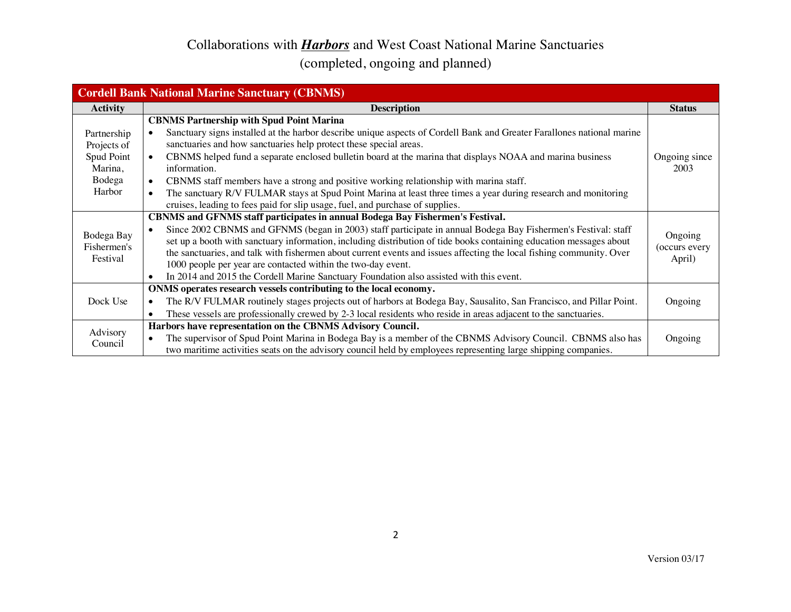|                     | <b>Cordell Bank National Marine Sanctuary (CBNMS)</b>                                                                           |               |
|---------------------|---------------------------------------------------------------------------------------------------------------------------------|---------------|
| <b>Activity</b>     | <b>Description</b>                                                                                                              | <b>Status</b> |
|                     | <b>CBNMS Partnership with Spud Point Marina</b>                                                                                 |               |
| Partnership         | Sanctuary signs installed at the harbor describe unique aspects of Cordell Bank and Greater Farallones national marine          |               |
| Projects of         | sanctuaries and how sanctuaries help protect these special areas.                                                               |               |
| Spud Point          | CBNMS helped fund a separate enclosed bulletin board at the marina that displays NOAA and marina business                       | Ongoing since |
| Marina,             | information.                                                                                                                    | 2003          |
| Bodega              | CBNMS staff members have a strong and positive working relationship with marina staff.<br>$\bullet$                             |               |
| Harbor              | The sanctuary R/V FULMAR stays at Spud Point Marina at least three times a year during research and monitoring                  |               |
|                     | cruises, leading to fees paid for slip usage, fuel, and purchase of supplies.                                                   |               |
|                     | <b>CBNMS</b> and GFNMS staff participates in annual Bodega Bay Fishermen's Festival.                                            |               |
| Bodega Bay          | Since 2002 CBNMS and GFNMS (began in 2003) staff participate in annual Bodega Bay Fishermen's Festival: staff                   | Ongoing       |
| Fishermen's         | set up a booth with sanctuary information, including distribution of tide books containing education messages about             | (occurs every |
| Festival            | the sanctuaries, and talk with fishermen about current events and issues affecting the local fishing community. Over            | April)        |
|                     | 1000 people per year are contacted within the two-day event.                                                                    |               |
|                     | In 2014 and 2015 the Cordell Marine Sanctuary Foundation also assisted with this event.                                         |               |
|                     | ONMS operates research vessels contributing to the local economy.                                                               |               |
| Dock Use            | The R/V FULMAR routinely stages projects out of harbors at Bodega Bay, Sausalito, San Francisco, and Pillar Point.<br>$\bullet$ | Ongoing       |
|                     | These vessels are professionally crewed by 2-3 local residents who reside in areas adjacent to the sanctuaries.                 |               |
|                     | Harbors have representation on the CBNMS Advisory Council.                                                                      |               |
| Advisory<br>Council | The supervisor of Spud Point Marina in Bodega Bay is a member of the CBNMS Advisory Council. CBNMS also has<br>$\bullet$        | Ongoing       |
|                     | two maritime activities seats on the advisory council held by employees representing large shipping companies.                  |               |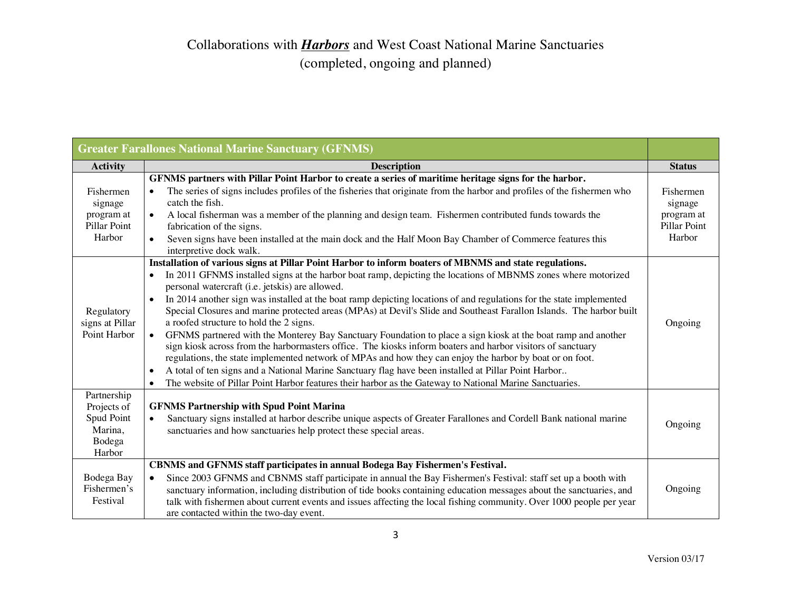### Collaborations with *Harbors* and West Coast National Marine Sanctuaries (completed, ongoing and planned)

|                                                                         | <b>Greater Farallones National Marine Sanctuary (GFNMS)</b>                                                                                                                                                                                                                                                                                                                                                                                                                                                                                                                                                                                                                                                                                                                                                                                                                                                                                                                                                                                                                                                                                                                                            |                                                              |
|-------------------------------------------------------------------------|--------------------------------------------------------------------------------------------------------------------------------------------------------------------------------------------------------------------------------------------------------------------------------------------------------------------------------------------------------------------------------------------------------------------------------------------------------------------------------------------------------------------------------------------------------------------------------------------------------------------------------------------------------------------------------------------------------------------------------------------------------------------------------------------------------------------------------------------------------------------------------------------------------------------------------------------------------------------------------------------------------------------------------------------------------------------------------------------------------------------------------------------------------------------------------------------------------|--------------------------------------------------------------|
| <b>Activity</b>                                                         | <b>Description</b>                                                                                                                                                                                                                                                                                                                                                                                                                                                                                                                                                                                                                                                                                                                                                                                                                                                                                                                                                                                                                                                                                                                                                                                     | <b>Status</b>                                                |
| Fishermen<br>signage<br>program at<br>Pillar Point<br>Harbor            | GFNMS partners with Pillar Point Harbor to create a series of maritime heritage signs for the harbor.<br>The series of signs includes profiles of the fisheries that originate from the harbor and profiles of the fishermen who<br>catch the fish.<br>A local fisherman was a member of the planning and design team. Fishermen contributed funds towards the<br>fabrication of the signs.<br>Seven signs have been installed at the main dock and the Half Moon Bay Chamber of Commerce features this<br>$\bullet$                                                                                                                                                                                                                                                                                                                                                                                                                                                                                                                                                                                                                                                                                   | Fishermen<br>signage<br>program at<br>Pillar Point<br>Harbor |
| Regulatory<br>signs at Pillar<br>Point Harbor                           | interpretive dock walk.<br>Installation of various signs at Pillar Point Harbor to inform boaters of MBNMS and state regulations.<br>In 2011 GFNMS installed signs at the harbor boat ramp, depicting the locations of MBNMS zones where motorized<br>personal watercraft (i.e. jetskis) are allowed.<br>In 2014 another sign was installed at the boat ramp depicting locations of and regulations for the state implemented<br>$\bullet$<br>Special Closures and marine protected areas (MPAs) at Devil's Slide and Southeast Farallon Islands. The harbor built<br>a roofed structure to hold the 2 signs.<br>GFNMS partnered with the Monterey Bay Sanctuary Foundation to place a sign kiosk at the boat ramp and another<br>$\bullet$<br>sign kiosk across from the harbormasters office. The kiosks inform boaters and harbor visitors of sanctuary<br>regulations, the state implemented network of MPAs and how they can enjoy the harbor by boat or on foot.<br>A total of ten signs and a National Marine Sanctuary flag have been installed at Pillar Point Harbor<br>$\bullet$<br>The website of Pillar Point Harbor features their harbor as the Gateway to National Marine Sanctuaries. | Ongoing                                                      |
| Partnership<br>Projects of<br>Spud Point<br>Marina,<br>Bodega<br>Harbor | <b>GFNMS Partnership with Spud Point Marina</b><br>Sanctuary signs installed at harbor describe unique aspects of Greater Farallones and Cordell Bank national marine<br>sanctuaries and how sanctuaries help protect these special areas.                                                                                                                                                                                                                                                                                                                                                                                                                                                                                                                                                                                                                                                                                                                                                                                                                                                                                                                                                             | Ongoing                                                      |
| Bodega Bay<br>Fishermen's<br>Festival                                   | CBNMS and GFNMS staff participates in annual Bodega Bay Fishermen's Festival.<br>Since 2003 GFNMS and CBNMS staff participate in annual the Bay Fishermen's Festival: staff set up a booth with<br>$\bullet$<br>sanctuary information, including distribution of tide books containing education messages about the sanctuaries, and<br>talk with fishermen about current events and issues affecting the local fishing community. Over 1000 people per year<br>are contacted within the two-day event.                                                                                                                                                                                                                                                                                                                                                                                                                                                                                                                                                                                                                                                                                                | Ongoing                                                      |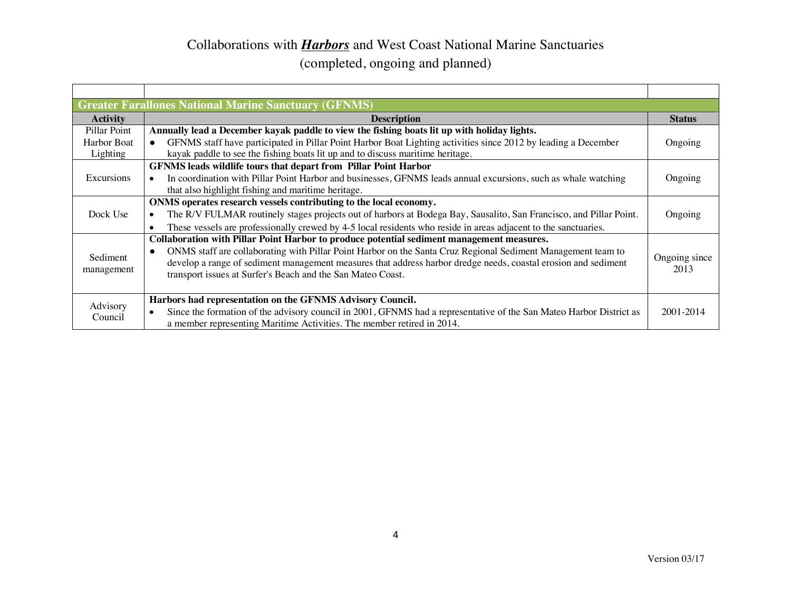|                 | <b>Greater Farallones National Marine Sanctuary (GFNMS)</b>                                                                      |                       |
|-----------------|----------------------------------------------------------------------------------------------------------------------------------|-----------------------|
| <b>Activity</b> | <b>Description</b>                                                                                                               | <b>Status</b>         |
| Pillar Point    | Annually lead a December kayak paddle to view the fishing boats lit up with holiday lights.                                      |                       |
| Harbor Boat     | GFNMS staff have participated in Pillar Point Harbor Boat Lighting activities since 2012 by leading a December<br>$\bullet$      | Ongoing               |
| Lighting        | kayak paddle to see the fishing boats lit up and to discuss maritime heritage.                                                   |                       |
|                 | GFNMS leads wildlife tours that depart from Pillar Point Harbor                                                                  |                       |
| Excursions      | In coordination with Pillar Point Harbor and businesses, GFNMS leads annual excursions, such as whale watching                   | Ongoing               |
|                 | that also highlight fishing and maritime heritage.                                                                               |                       |
|                 | ONMS operates research vessels contributing to the local economy.                                                                |                       |
| Dock Use        | The R/V FULMAR routinely stages projects out of harbors at Bodega Bay, Sausalito, San Francisco, and Pillar Point.               | Ongoing               |
|                 | These vessels are professionally crewed by 4-5 local residents who reside in areas adjacent to the sanctuaries.<br>$\bullet$     |                       |
|                 | Collaboration with Pillar Point Harbor to produce potential sediment management measures.                                        |                       |
|                 | ONMS staff are collaborating with Pillar Point Harbor on the Santa Cruz Regional Sediment Management team to<br>$\bullet$        |                       |
| Sediment        | develop a range of sediment management measures that address harbor dredge needs, coastal erosion and sediment                   | Ongoing since<br>2013 |
| management      | transport issues at Surfer's Beach and the San Mateo Coast.                                                                      |                       |
|                 |                                                                                                                                  |                       |
|                 | Harbors had representation on the GFNMS Advisory Council.                                                                        |                       |
| Advisory        | Since the formation of the advisory council in 2001, GFNMS had a representative of the San Mateo Harbor District as<br>$\bullet$ | 2001-2014             |
| Council         | a member representing Maritime Activities. The member retired in 2014.                                                           |                       |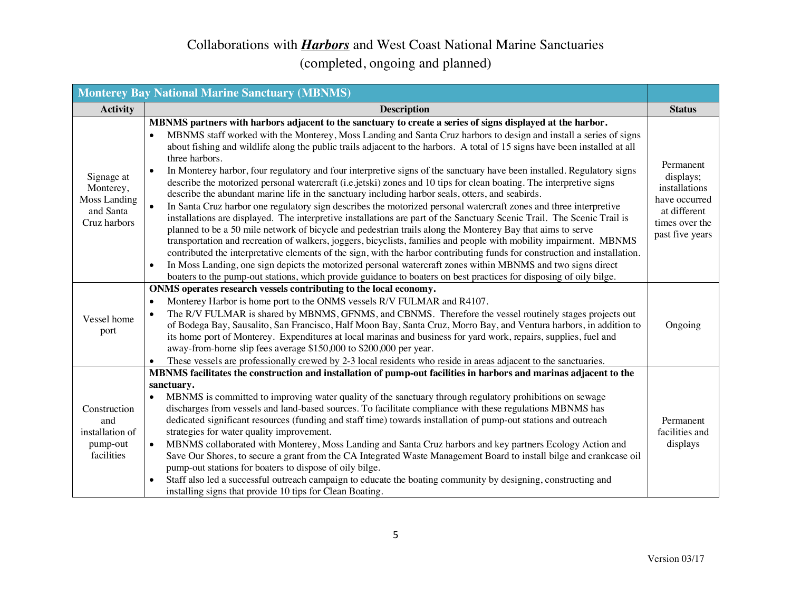|                                                                      | <b>Monterey Bay National Marine Sanctuary (MBNMS)</b>                                                                                                                                                                                                                                                                                                                                                                                                                                                                                                                                                                                                                                                                                                                                                                                                                                                                                                                                                                                                                                                                                                                                                                                                                                                                                                                                                                                                                                                                                                                                                                  |                                                                                                               |
|----------------------------------------------------------------------|------------------------------------------------------------------------------------------------------------------------------------------------------------------------------------------------------------------------------------------------------------------------------------------------------------------------------------------------------------------------------------------------------------------------------------------------------------------------------------------------------------------------------------------------------------------------------------------------------------------------------------------------------------------------------------------------------------------------------------------------------------------------------------------------------------------------------------------------------------------------------------------------------------------------------------------------------------------------------------------------------------------------------------------------------------------------------------------------------------------------------------------------------------------------------------------------------------------------------------------------------------------------------------------------------------------------------------------------------------------------------------------------------------------------------------------------------------------------------------------------------------------------------------------------------------------------------------------------------------------------|---------------------------------------------------------------------------------------------------------------|
| <b>Activity</b>                                                      | <b>Description</b>                                                                                                                                                                                                                                                                                                                                                                                                                                                                                                                                                                                                                                                                                                                                                                                                                                                                                                                                                                                                                                                                                                                                                                                                                                                                                                                                                                                                                                                                                                                                                                                                     | <b>Status</b>                                                                                                 |
| Signage at<br>Monterey,<br>Moss Landing<br>and Santa<br>Cruz harbors | MBNMS partners with harbors adjacent to the sanctuary to create a series of signs displayed at the harbor.<br>MBNMS staff worked with the Monterey, Moss Landing and Santa Cruz harbors to design and install a series of signs<br>about fishing and wildlife along the public trails adjacent to the harbors. A total of 15 signs have been installed at all<br>three harbors.<br>In Monterey harbor, four regulatory and four interpretive signs of the sanctuary have been installed. Regulatory signs<br>$\bullet$<br>describe the motorized personal watercraft (i.e. jetski) zones and 10 tips for clean boating. The interpretive signs<br>describe the abundant marine life in the sanctuary including harbor seals, otters, and seabirds.<br>In Santa Cruz harbor one regulatory sign describes the motorized personal watercraft zones and three interpretive<br>installations are displayed. The interpretive installations are part of the Sanctuary Scenic Trail. The Scenic Trail is<br>planned to be a 50 mile network of bicycle and pedestrian trails along the Monterey Bay that aims to serve<br>transportation and recreation of walkers, joggers, bicyclists, families and people with mobility impairment. MBNMS<br>contributed the interpretative elements of the sign, with the harbor contributing funds for construction and installation.<br>In Moss Landing, one sign depicts the motorized personal watercraft zones within MBNMS and two signs direct<br>$\bullet$<br>boaters to the pump-out stations, which provide guidance to boaters on best practices for disposing of oily bilge. | Permanent<br>displays;<br>installations<br>have occurred<br>at different<br>times over the<br>past five years |
| Vessel home<br>port                                                  | ONMS operates research vessels contributing to the local economy.<br>Monterey Harbor is home port to the ONMS vessels R/V FULMAR and R4107.<br>$\bullet$<br>The R/V FULMAR is shared by MBNMS, GFNMS, and CBNMS. Therefore the vessel routinely stages projects out<br>$\bullet$<br>of Bodega Bay, Sausalito, San Francisco, Half Moon Bay, Santa Cruz, Morro Bay, and Ventura harbors, in addition to<br>its home port of Monterey. Expenditures at local marinas and business for yard work, repairs, supplies, fuel and<br>away-from-home slip fees average \$150,000 to \$200,000 per year.<br>These vessels are professionally crewed by 2-3 local residents who reside in areas adjacent to the sanctuaries.<br>$\bullet$                                                                                                                                                                                                                                                                                                                                                                                                                                                                                                                                                                                                                                                                                                                                                                                                                                                                                        | Ongoing                                                                                                       |
| Construction<br>and<br>installation of<br>pump-out<br>facilities     | MBNMS facilitates the construction and installation of pump-out facilities in harbors and marinas adjacent to the<br>sanctuary.<br>MBNMS is committed to improving water quality of the sanctuary through regulatory prohibitions on sewage<br>discharges from vessels and land-based sources. To facilitate compliance with these regulations MBNMS has<br>dedicated significant resources (funding and staff time) towards installation of pump-out stations and outreach<br>strategies for water quality improvement.<br>MBNMS collaborated with Monterey, Moss Landing and Santa Cruz harbors and key partners Ecology Action and<br>$\bullet$<br>Save Our Shores, to secure a grant from the CA Integrated Waste Management Board to install bilge and crankcase oil<br>pump-out stations for boaters to dispose of oily bilge.<br>Staff also led a successful outreach campaign to educate the boating community by designing, constructing and<br>installing signs that provide 10 tips for Clean Boating.                                                                                                                                                                                                                                                                                                                                                                                                                                                                                                                                                                                                      | Permanent<br>facilities and<br>displays                                                                       |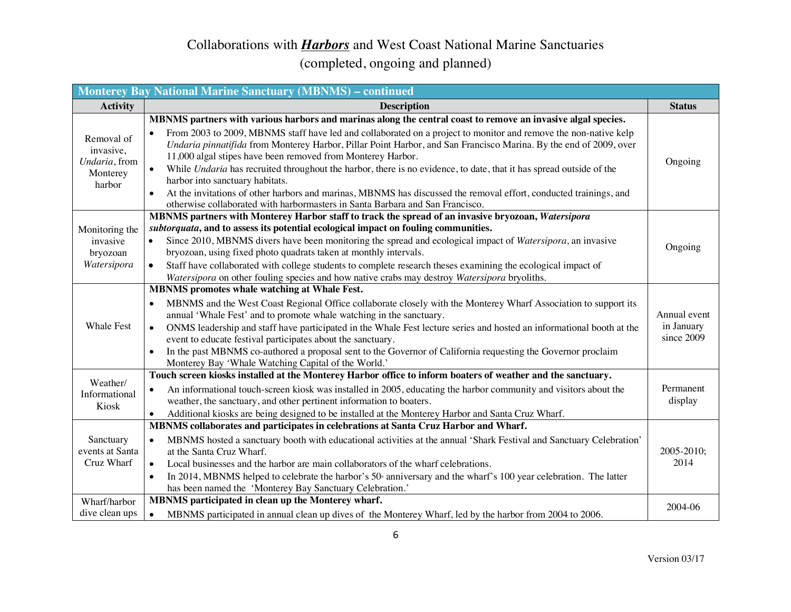|                                                                | <b>Monterey Bay National Marine Sanctuary (MBNMS) - continued</b>                                                                                                                                                                                                                                                                                                                                                                                                                                                                                                                                                                                                                                                                                                                                             |                                          |
|----------------------------------------------------------------|---------------------------------------------------------------------------------------------------------------------------------------------------------------------------------------------------------------------------------------------------------------------------------------------------------------------------------------------------------------------------------------------------------------------------------------------------------------------------------------------------------------------------------------------------------------------------------------------------------------------------------------------------------------------------------------------------------------------------------------------------------------------------------------------------------------|------------------------------------------|
| <b>Activity</b>                                                | <b>Description</b>                                                                                                                                                                                                                                                                                                                                                                                                                                                                                                                                                                                                                                                                                                                                                                                            | <b>Status</b>                            |
| Removal of<br>invasive,<br>Undaria, from<br>Monterey<br>harbor | MBNMS partners with various harbors and marinas along the central coast to remove an invasive algal species.<br>From 2003 to 2009, MBNMS staff have led and collaborated on a project to monitor and remove the non-native kelp<br>$\bullet$<br>Undaria pinnatifida from Monterey Harbor, Pillar Point Harbor, and San Francisco Marina. By the end of 2009, over<br>11,000 algal stipes have been removed from Monterey Harbor.<br>While Undaria has recruited throughout the harbor, there is no evidence, to date, that it has spread outside of the<br>$\bullet$<br>harbor into sanctuary habitats.<br>At the invitations of other harbors and marinas, MBNMS has discussed the removal effort, conducted trainings, and<br>otherwise collaborated with harbormasters in Santa Barbara and San Francisco. | Ongoing                                  |
| Monitoring the<br>invasive<br>bryozoan<br>Watersipora          | MBNMS partners with Monterey Harbor staff to track the spread of an invasive bryozoan, Watersipora<br>subtorquata, and to assess its potential ecological impact on fouling communities.<br>Since 2010, MBNMS divers have been monitoring the spread and ecological impact of Watersipora, an invasive<br>bryozoan, using fixed photo quadrats taken at monthly intervals.<br>Staff have collaborated with college students to complete research theses examining the ecological impact of<br>$\bullet$<br>Watersipora on other fouling species and how native crabs may destroy Watersipora bryoliths.                                                                                                                                                                                                       | Ongoing                                  |
| <b>Whale Fest</b>                                              | <b>MBNMS</b> promotes whale watching at Whale Fest.<br>MBNMS and the West Coast Regional Office collaborate closely with the Monterey Wharf Association to support its<br>$\bullet$<br>annual 'Whale Fest' and to promote whale watching in the sanctuary.<br>ONMS leadership and staff have participated in the Whale Fest lecture series and hosted an informational booth at the<br>event to educate festival participates about the sanctuary.<br>In the past MBNMS co-authored a proposal sent to the Governor of California requesting the Governor proclaim<br>Monterey Bay 'Whale Watching Capital of the World.'                                                                                                                                                                                     | Annual event<br>in January<br>since 2009 |
| Weather/<br>Informational<br>Kiosk                             | Touch screen kiosks installed at the Monterey Harbor office to inform boaters of weather and the sanctuary.<br>An informational touch-screen kiosk was installed in 2005, educating the harbor community and visitors about the<br>$\bullet$<br>weather, the sanctuary, and other pertinent information to boaters.<br>Additional kiosks are being designed to be installed at the Monterey Harbor and Santa Cruz Wharf.                                                                                                                                                                                                                                                                                                                                                                                      | Permanent<br>display                     |
| Sanctuary<br>events at Santa<br>Cruz Wharf<br>Wharf/harbor     | MBNMS collaborates and participates in celebrations at Santa Cruz Harbor and Wharf.<br>MBNMS hosted a sanctuary booth with educational activities at the annual 'Shark Festival and Sanctuary Celebration'<br>at the Santa Cruz Wharf.<br>Local businesses and the harbor are main collaborators of the wharf celebrations.<br>$\bullet$<br>In 2014, MBNMS helped to celebrate the harbor's 50 <sup>th</sup> anniversary and the wharf's 100 year celebration. The latter<br>$\bullet$<br>has been named the 'Monterey Bay Sanctuary Celebration.'<br>MBNMS participated in clean up the Monterey wharf.                                                                                                                                                                                                      | 2005-2010;<br>2014                       |
| dive clean ups                                                 | MBNMS participated in annual clean up dives of the Monterey Wharf, led by the harbor from 2004 to 2006.<br>$\bullet$                                                                                                                                                                                                                                                                                                                                                                                                                                                                                                                                                                                                                                                                                          | 2004-06                                  |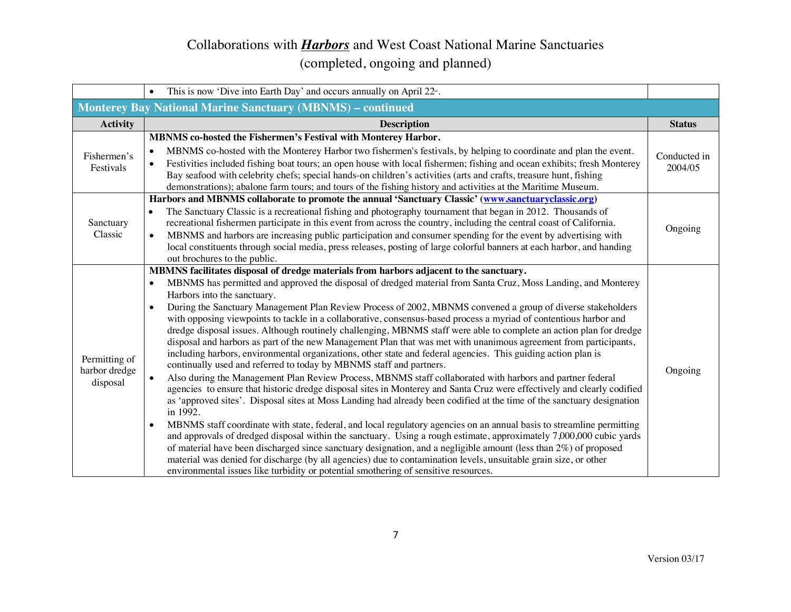|                                            | This is now 'Dive into Earth Day' and occurs annually on April $22^{\omega}$ .<br>$\bullet$                                                                                                                                                                                                                                                                                                                                                                                                                                                                                                                                                                                                                                                                                                                                                                                                                                                                                                                                                                                                                                                                                                                                                                                                                                                                                                                                                                                                                                                                                                                                                                                                                                                                                                                                                                                                                                    |                         |
|--------------------------------------------|--------------------------------------------------------------------------------------------------------------------------------------------------------------------------------------------------------------------------------------------------------------------------------------------------------------------------------------------------------------------------------------------------------------------------------------------------------------------------------------------------------------------------------------------------------------------------------------------------------------------------------------------------------------------------------------------------------------------------------------------------------------------------------------------------------------------------------------------------------------------------------------------------------------------------------------------------------------------------------------------------------------------------------------------------------------------------------------------------------------------------------------------------------------------------------------------------------------------------------------------------------------------------------------------------------------------------------------------------------------------------------------------------------------------------------------------------------------------------------------------------------------------------------------------------------------------------------------------------------------------------------------------------------------------------------------------------------------------------------------------------------------------------------------------------------------------------------------------------------------------------------------------------------------------------------|-------------------------|
|                                            | <b>Monterey Bay National Marine Sanctuary (MBNMS) - continued</b>                                                                                                                                                                                                                                                                                                                                                                                                                                                                                                                                                                                                                                                                                                                                                                                                                                                                                                                                                                                                                                                                                                                                                                                                                                                                                                                                                                                                                                                                                                                                                                                                                                                                                                                                                                                                                                                              |                         |
| <b>Activity</b>                            | <b>Description</b>                                                                                                                                                                                                                                                                                                                                                                                                                                                                                                                                                                                                                                                                                                                                                                                                                                                                                                                                                                                                                                                                                                                                                                                                                                                                                                                                                                                                                                                                                                                                                                                                                                                                                                                                                                                                                                                                                                             | <b>Status</b>           |
| Fishermen's<br>Festivals                   | MBNMS co-hosted the Fishermen's Festival with Monterey Harbor.<br>MBNMS co-hosted with the Monterey Harbor two fishermen's festivals, by helping to coordinate and plan the event.<br>$\bullet$<br>Festivities included fishing boat tours; an open house with local fishermen; fishing and ocean exhibits; fresh Monterey<br>$\bullet$<br>Bay seafood with celebrity chefs; special hands-on children's activities (arts and crafts, treasure hunt, fishing<br>demonstrations); abalone farm tours; and tours of the fishing history and activities at the Maritime Museum.                                                                                                                                                                                                                                                                                                                                                                                                                                                                                                                                                                                                                                                                                                                                                                                                                                                                                                                                                                                                                                                                                                                                                                                                                                                                                                                                                   | Conducted in<br>2004/05 |
| Sanctuary<br>Classic                       | Harbors and MBNMS collaborate to promote the annual 'Sanctuary Classic' (www.sanctuaryclassic.org)<br>The Sanctuary Classic is a recreational fishing and photography tournament that began in 2012. Thousands of<br>$\bullet$<br>recreational fishermen participate in this event from across the country, including the central coast of California.<br>MBNMS and harbors are increasing public participation and consumer spending for the event by advertising with<br>$\bullet$<br>local constituents through social media, press releases, posting of large colorful banners at each harbor, and handing<br>out brochures to the public.                                                                                                                                                                                                                                                                                                                                                                                                                                                                                                                                                                                                                                                                                                                                                                                                                                                                                                                                                                                                                                                                                                                                                                                                                                                                                 | Ongoing                 |
| Permitting of<br>harbor dredge<br>disposal | MBMNS facilitates disposal of dredge materials from harbors adjacent to the sanctuary.<br>MBNMS has permitted and approved the disposal of dredged material from Santa Cruz, Moss Landing, and Monterey<br>$\bullet$<br>Harbors into the sanctuary.<br>During the Sanctuary Management Plan Review Process of 2002, MBNMS convened a group of diverse stakeholders<br>$\bullet$<br>with opposing viewpoints to tackle in a collaborative, consensus-based process a myriad of contentious harbor and<br>dredge disposal issues. Although routinely challenging, MBNMS staff were able to complete an action plan for dredge<br>disposal and harbors as part of the new Management Plan that was met with unanimous agreement from participants,<br>including harbors, environmental organizations, other state and federal agencies. This guiding action plan is<br>continually used and referred to today by MBNMS staff and partners.<br>Also during the Management Plan Review Process, MBNMS staff collaborated with harbors and partner federal<br>$\bullet$<br>agencies to ensure that historic dredge disposal sites in Monterey and Santa Cruz were effectively and clearly codified<br>as 'approved sites'. Disposal sites at Moss Landing had already been codified at the time of the sanctuary designation<br>in 1992.<br>MBNMS staff coordinate with state, federal, and local regulatory agencies on an annual basis to streamline permitting<br>$\bullet$<br>and approvals of dredged disposal within the sanctuary. Using a rough estimate, approximately 7,000,000 cubic yards<br>of material have been discharged since sanctuary designation, and a negligible amount (less than 2%) of proposed<br>material was denied for discharge (by all agencies) due to contamination levels, unsuitable grain size, or other<br>environmental issues like turbidity or potential smothering of sensitive resources. | Ongoing                 |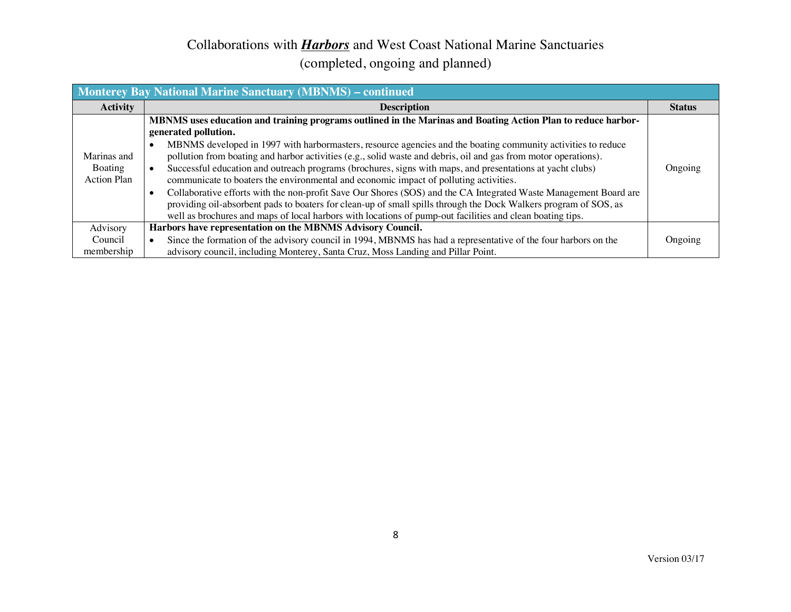| <b>Monterey Bay National Marine Sanctuary (MBNMS) – continued</b> |                                                                                                                                                                                                                                                                                                                                                                                                                                                                                                                                                                                                                                                                                                                                                                                                                                                                                                                                                              |               |
|-------------------------------------------------------------------|--------------------------------------------------------------------------------------------------------------------------------------------------------------------------------------------------------------------------------------------------------------------------------------------------------------------------------------------------------------------------------------------------------------------------------------------------------------------------------------------------------------------------------------------------------------------------------------------------------------------------------------------------------------------------------------------------------------------------------------------------------------------------------------------------------------------------------------------------------------------------------------------------------------------------------------------------------------|---------------|
| <b>Activity</b>                                                   | <b>Description</b>                                                                                                                                                                                                                                                                                                                                                                                                                                                                                                                                                                                                                                                                                                                                                                                                                                                                                                                                           | <b>Status</b> |
| Marinas and<br>Boating<br>Action Plan                             | MBNMS uses education and training programs outlined in the Marinas and Boating Action Plan to reduce harbor-<br>generated pollution.<br>MBNMS developed in 1997 with harbormasters, resource agencies and the boating community activities to reduce<br>$\bullet$<br>pollution from boating and harbor activities (e.g., solid waste and debris, oil and gas from motor operations).<br>Successful education and outreach programs (brochures, signs with maps, and presentations at yacht clubs)<br>communicate to boaters the environmental and economic impact of polluting activities.<br>Collaborative efforts with the non-profit Save Our Shores (SOS) and the CA Integrated Waste Management Board are<br>$\bullet$<br>providing oil-absorbent pads to boaters for clean-up of small spills through the Dock Walkers program of SOS, as<br>well as brochures and maps of local harbors with locations of pump-out facilities and clean boating tips. | Ongoing       |
| Advisory                                                          | Harbors have representation on the MBNMS Advisory Council.                                                                                                                                                                                                                                                                                                                                                                                                                                                                                                                                                                                                                                                                                                                                                                                                                                                                                                   |               |
| Council<br>membership                                             | Since the formation of the advisory council in 1994, MBNMS has had a representative of the four harbors on the<br>advisory council, including Monterey, Santa Cruz, Moss Landing and Pillar Point.                                                                                                                                                                                                                                                                                                                                                                                                                                                                                                                                                                                                                                                                                                                                                           | Ongoing       |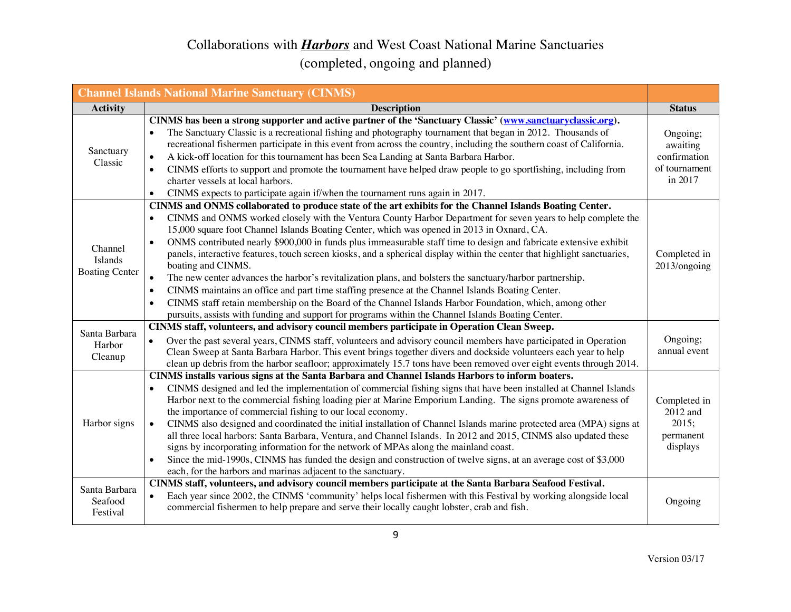|                                             | <b>Channel Islands National Marine Sanctuary (CINMS)</b>                                                                                                                                                                                                                                                                                                                                                                                                                                                                                                                                                                                                                                                                                                                                                                                                                                                                                                                                                                                                                            |                                                                  |
|---------------------------------------------|-------------------------------------------------------------------------------------------------------------------------------------------------------------------------------------------------------------------------------------------------------------------------------------------------------------------------------------------------------------------------------------------------------------------------------------------------------------------------------------------------------------------------------------------------------------------------------------------------------------------------------------------------------------------------------------------------------------------------------------------------------------------------------------------------------------------------------------------------------------------------------------------------------------------------------------------------------------------------------------------------------------------------------------------------------------------------------------|------------------------------------------------------------------|
| <b>Activity</b>                             | <b>Description</b>                                                                                                                                                                                                                                                                                                                                                                                                                                                                                                                                                                                                                                                                                                                                                                                                                                                                                                                                                                                                                                                                  | <b>Status</b>                                                    |
| Sanctuary<br>Classic                        | CINMS has been a strong supporter and active partner of the 'Sanctuary Classic' (www.sanctuaryclassic.org).<br>The Sanctuary Classic is a recreational fishing and photography tournament that began in 2012. Thousands of<br>$\bullet$<br>recreational fishermen participate in this event from across the country, including the southern coast of California.<br>A kick-off location for this tournament has been Sea Landing at Santa Barbara Harbor.<br>$\bullet$<br>CINMS efforts to support and promote the tournament have helped draw people to go sportfishing, including from<br>$\bullet$<br>charter vessels at local harbors.<br>CINMS expects to participate again if/when the tournament runs again in 2017.                                                                                                                                                                                                                                                                                                                                                         | Ongoing;<br>awaiting<br>confirmation<br>of tournament<br>in 2017 |
| Channel<br>Islands<br><b>Boating Center</b> | CINMS and ONMS collaborated to produce state of the art exhibits for the Channel Islands Boating Center.<br>CINMS and ONMS worked closely with the Ventura County Harbor Department for seven years to help complete the<br>15,000 square foot Channel Islands Boating Center, which was opened in 2013 in Oxnard, CA.<br>ONMS contributed nearly \$900,000 in funds plus immeasurable staff time to design and fabricate extensive exhibit<br>$\bullet$<br>panels, interactive features, touch screen kiosks, and a spherical display within the center that highlight sanctuaries,<br>boating and CINMS.<br>The new center advances the harbor's revitalization plans, and bolsters the sanctuary/harbor partnership.<br>$\bullet$<br>CINMS maintains an office and part time staffing presence at the Channel Islands Boating Center.<br>$\bullet$<br>CINMS staff retain membership on the Board of the Channel Islands Harbor Foundation, which, among other<br>$\bullet$<br>pursuits, assists with funding and support for programs within the Channel Islands Boating Center. | Completed in<br>2013/ongoing                                     |
| Santa Barbara<br>Harbor<br>Cleanup          | CINMS staff, volunteers, and advisory council members participate in Operation Clean Sweep.<br>Over the past several years, CINMS staff, volunteers and advisory council members have participated in Operation<br>Clean Sweep at Santa Barbara Harbor. This event brings together divers and dockside volunteers each year to help<br>clean up debris from the harbor seafloor; approximately 15.7 tons have been removed over eight events through 2014.                                                                                                                                                                                                                                                                                                                                                                                                                                                                                                                                                                                                                          | Ongoing;<br>annual event                                         |
| Harbor signs                                | CINMS installs various signs at the Santa Barbara and Channel Islands Harbors to inform boaters.<br>CINMS designed and led the implementation of commercial fishing signs that have been installed at Channel Islands<br>Harbor next to the commercial fishing loading pier at Marine Emporium Landing. The signs promote awareness of<br>the importance of commercial fishing to our local economy.<br>CINMS also designed and coordinated the initial installation of Channel Islands marine protected area (MPA) signs at<br>$\bullet$<br>all three local harbors: Santa Barbara, Ventura, and Channel Islands. In 2012 and 2015, CINMS also updated these<br>signs by incorporating information for the network of MPAs along the mainland coast.<br>Since the mid-1990s, CINMS has funded the design and construction of twelve signs, at an average cost of \$3,000<br>$\bullet$<br>each, for the harbors and marinas adjacent to the sanctuary.                                                                                                                              | Completed in<br>2012 and<br>2015;<br>permanent<br>displays       |
| Santa Barbara<br>Seafood<br>Festival        | CINMS staff, volunteers, and advisory council members participate at the Santa Barbara Seafood Festival.<br>Each year since 2002, the CINMS 'community' helps local fishermen with this Festival by working alongside local<br>$\bullet$<br>commercial fishermen to help prepare and serve their locally caught lobster, crab and fish.                                                                                                                                                                                                                                                                                                                                                                                                                                                                                                                                                                                                                                                                                                                                             | Ongoing                                                          |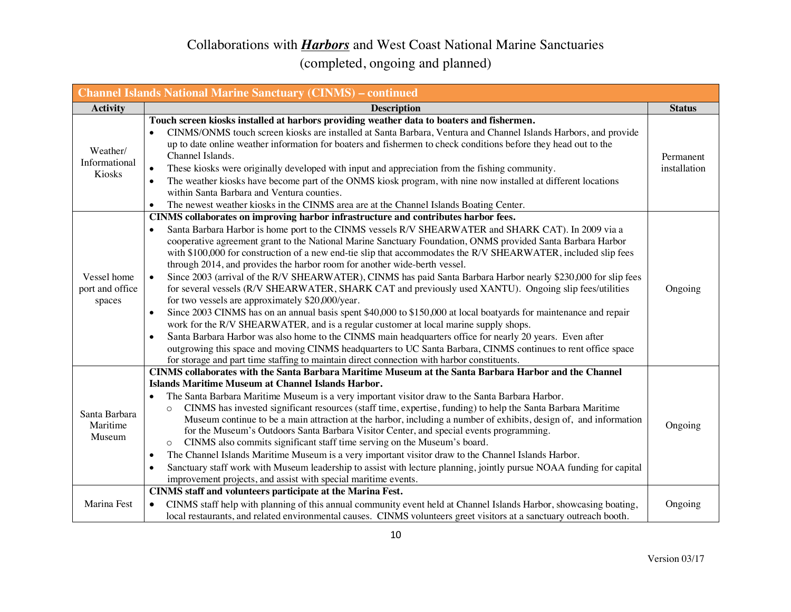| <b>Channel Islands National Marine Sanctuary (CINMS) - continued</b> |                                                                                                                                                                                                                                                                                                                                                                                                                                                                                                                                                                                                                                                                                                                                                                                                                                                                                                                                                                                                                                                                                                                                                                                                                                                                                                                                              |                           |
|----------------------------------------------------------------------|----------------------------------------------------------------------------------------------------------------------------------------------------------------------------------------------------------------------------------------------------------------------------------------------------------------------------------------------------------------------------------------------------------------------------------------------------------------------------------------------------------------------------------------------------------------------------------------------------------------------------------------------------------------------------------------------------------------------------------------------------------------------------------------------------------------------------------------------------------------------------------------------------------------------------------------------------------------------------------------------------------------------------------------------------------------------------------------------------------------------------------------------------------------------------------------------------------------------------------------------------------------------------------------------------------------------------------------------|---------------------------|
| <b>Activity</b>                                                      | <b>Description</b>                                                                                                                                                                                                                                                                                                                                                                                                                                                                                                                                                                                                                                                                                                                                                                                                                                                                                                                                                                                                                                                                                                                                                                                                                                                                                                                           | <b>Status</b>             |
| Weather/<br>Informational<br>Kiosks                                  | Touch screen kiosks installed at harbors providing weather data to boaters and fishermen.<br>CINMS/ONMS touch screen kiosks are installed at Santa Barbara, Ventura and Channel Islands Harbors, and provide<br>up to date online weather information for boaters and fishermen to check conditions before they head out to the<br>Channel Islands.<br>These kiosks were originally developed with input and appreciation from the fishing community.<br>$\bullet$<br>The weather kiosks have become part of the ONMS kiosk program, with nine now installed at different locations<br>$\bullet$<br>within Santa Barbara and Ventura counties.<br>The newest weather kiosks in the CINMS area are at the Channel Islands Boating Center.<br>$\bullet$                                                                                                                                                                                                                                                                                                                                                                                                                                                                                                                                                                                        | Permanent<br>installation |
| Vessel home<br>port and office<br>spaces                             | CINMS collaborates on improving harbor infrastructure and contributes harbor fees.<br>Santa Barbara Harbor is home port to the CINMS vessels R/V SHEARWATER and SHARK CAT). In 2009 via a<br>cooperative agreement grant to the National Marine Sanctuary Foundation, ONMS provided Santa Barbara Harbor<br>with \$100,000 for construction of a new end-tie slip that accommodates the R/V SHEARWATER, included slip fees<br>through 2014, and provides the harbor room for another wide-berth vessel.<br>Since 2003 (arrival of the R/V SHEARWATER), CINMS has paid Santa Barbara Harbor nearly \$230,000 for slip fees<br>for several vessels (R/V SHEARWATER, SHARK CAT and previously used XANTU). Ongoing slip fees/utilities<br>for two vessels are approximately \$20,000/year.<br>Since 2003 CINMS has on an annual basis spent \$40,000 to \$150,000 at local boatyards for maintenance and repair<br>$\bullet$<br>work for the R/V SHEARWATER, and is a regular customer at local marine supply shops.<br>Santa Barbara Harbor was also home to the CINMS main headquarters office for nearly 20 years. Even after<br>outgrowing this space and moving CINMS headquarters to UC Santa Barbara, CINMS continues to rent office space<br>for storage and part time staffing to maintain direct connection with harbor constituents. | Ongoing                   |
| Santa Barbara<br>Maritime<br>Museum                                  | <b>CINMS</b> collaborates with the Santa Barbara Maritime Museum at the Santa Barbara Harbor and the Channel<br>Islands Maritime Museum at Channel Islands Harbor.<br>The Santa Barbara Maritime Museum is a very important visitor draw to the Santa Barbara Harbor.<br>CINMS has invested significant resources (staff time, expertise, funding) to help the Santa Barbara Maritime<br>$\circ$<br>Museum continue to be a main attraction at the harbor, including a number of exhibits, design of, and information<br>for the Museum's Outdoors Santa Barbara Visitor Center, and special events programming.<br>CINMS also commits significant staff time serving on the Museum's board.<br>The Channel Islands Maritime Museum is a very important visitor draw to the Channel Islands Harbor.<br>$\bullet$<br>Sanctuary staff work with Museum leadership to assist with lecture planning, jointly pursue NOAA funding for capital<br>$\bullet$<br>improvement projects, and assist with special maritime events.                                                                                                                                                                                                                                                                                                                      | Ongoing                   |
| Marina Fest                                                          | CINMS staff and volunteers participate at the Marina Fest.<br>CINMS staff help with planning of this annual community event held at Channel Islands Harbor, showcasing boating,<br>$\bullet$<br>local restaurants, and related environmental causes. CINMS volunteers greet visitors at a sanctuary outreach booth.                                                                                                                                                                                                                                                                                                                                                                                                                                                                                                                                                                                                                                                                                                                                                                                                                                                                                                                                                                                                                          | Ongoing                   |